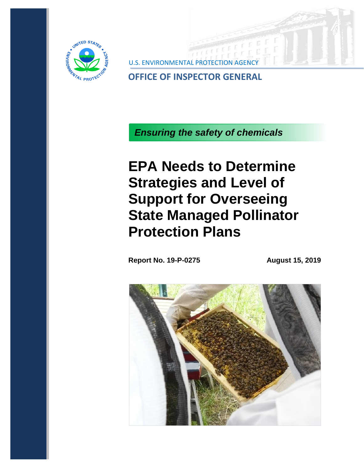

**U.S. ENVIRONMENTA** 

**OFFICE OF INSPECTOR GENERAL**

*Ensuring the safety of chemicals*

**EPA Needs to Determine Strategies and Level of Support for Overseeing State Managed Pollinator Protection Plans**

**Report No. 19-P-0275 August 15, 2019**

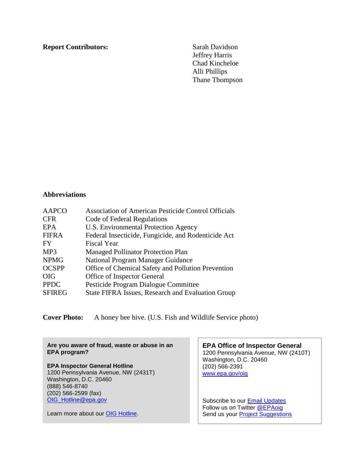#### **Report Contributors:** Sarah Davidson

Jeffrey Harris Chad Kincheloe Alli Phillips Thane Thompson

# **Abbreviations**

| <b>AAPCO</b>  | <b>Association of American Pesticide Control Officials</b> |
|---------------|------------------------------------------------------------|
| <b>CFR</b>    | Code of Federal Regulations                                |
| EPA           | U.S. Environmental Protection Agency                       |
| <b>FIFRA</b>  | Federal Insecticide, Fungicide, and Rodenticide Act        |
| FY.           | <b>Fiscal Year</b>                                         |
| MP3           | <b>Managed Pollinator Protection Plan</b>                  |
| <b>NPMG</b>   | National Program Manager Guidance                          |
| <b>OCSPP</b>  | Office of Chemical Safety and Pollution Prevention         |
| <b>OIG</b>    | Office of Inspector General                                |
| <b>PPDC</b>   | Pesticide Program Dialogue Committee                       |
| <b>SFIREG</b> | <b>State FIFRA Issues, Research and Evaluation Group</b>   |

**Cover Photo:** A honey bee hive. (U.S. Fish and Wildlife Service photo)

**Are you aware of fraud, waste or abuse in an EPA program?** 

# **EPA Inspector General Hotline**

1200 Pennsylvania Avenue, NW (2431T) Washington, D.C. 20460 (888) 546-8740 (202) 566-2599 (fax) [OIG\\_Hotline@epa.gov](mailto:OIG_Hotline@epa.gov)

Learn more about our [OIG Hotline.](http://www2.epa.gov/office-inspector-general/epa-oig-hotline)

**EPA Office of Inspector General** 1200 Pennsylvania Avenue, NW (2410T) Washington, D.C. 20460 (202) 566-2391 [www.epa.gov/oig](http://go.usa.gov/mgUQ)

Subscribe to our [Email Updates](http://go.usa.gov/cGwdJ) Follow us on Twitter **@EPAoig** Send us your **Project Suggestions**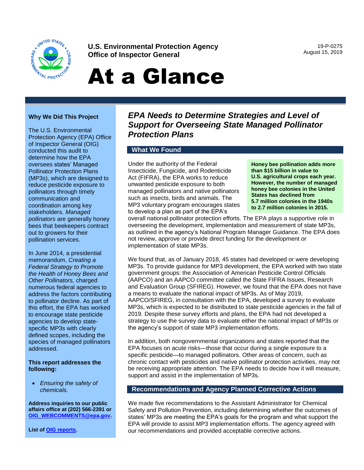

**U.S. Environmental Protection Agency Office of Inspector General**

19-P-0275 August 15, 2019

# At a Glance

#### **Why We Did This Project**

The U.S. Environmental Protection Agency (EPA) Office of Inspector General (OIG) conducted this audit to determine how the EPA oversees states' Managed Pollinator Protection Plans (MP3s), which are designed to reduce pesticide exposure to pollinators through timely communication and coordination among key stakeholders. *Managed pollinators* are generally honey bees that beekeepers contract out to growers for their pollination services.

In June 2014, a presidential memorandum, *Creating a Federal Strategy to Promote the Health of Honey Bees and Other Pollinators,* charged numerous federal agencies to address the factors contributing to pollinator decline. As part of this effort, the EPA has worked to encourage state pesticide agencies to develop statespecific MP3s with clearly defined scopes, including the species of managed pollinators addressed.

#### **This report addresses the following:**

• *Ensuring the safety of chemicals.* 

**Address inquiries to our public affairs office at (202) 566-2391 or [OIG\\_WEBCOMMENTS@epa.gov.](mailto:OIG_WEBCOMMENTS@epa.gov)** 

**List o[f OIG reports](http://www2.epa.gov/office-inspector-general/oig-reports)**.

# *EPA Needs to Determine Strategies and Level of Support for Overseeing State Managed Pollinator Protection Plans*

## **What We Found**

Under the authority of the Federal Insecticide, Fungicide, and Rodenticide Act (FIFRA), the EPA works to reduce unwanted pesticide exposure to both managed pollinators and native pollinators such as insects, birds and animals. The MP3 voluntary program encourages states to develop a plan as part of the EPA's

**Honey bee pollination adds more than \$15 billion in value to U.S. agricultural crops each year. However, the number of managed honey bee colonies in the United States has declined from 5.7 million colonies in the 1940s to 2.7 million colonies in 2015.**

overall national pollinator protection efforts. The EPA plays a supportive role in overseeing the development, implementation and measurement of state MP3s, as outlined in the agency's National Program Manager Guidance. The EPA does not review, approve or provide direct funding for the development or implementation of state MP3s.

We found that, as of January 2018, 45 states had developed or were developing MP3s. To provide guidance for MP3 development, the EPA worked with two state government groups: the Association of American Pesticide Control Officials (AAPCO) and an AAPCO committee called the State FIFRA Issues, Research and Evaluation Group (SFIREG). However, we found that the EPA does not have a means to evaluate the national impact of MP3s. As of May 2019, AAPCO/SFIREG, in consultation with the EPA, developed a survey to evaluate MP3s, which is expected to be distributed to state pesticide agencies in the fall of 2019. Despite these survey efforts and plans, the EPA had not developed a strategy to use the survey data to evaluate either the national impact of MP3s or the agency's support of state MP3 implementation efforts.

In addition, both nongovernmental organizations and states reported that the EPA focuses on acute risks—those that occur during a single exposure to a specific pesticide—to managed pollinators. Other areas of concern, such as chronic contact with pesticides and native pollinator protection activities, may not be receiving appropriate attention. The EPA needs to decide how it will measure, support and assist in the implementation of MP3s.

#### **Recommendations and Agency Planned Corrective Actions**

We made five recommendations to the Assistant Administrator for Chemical Safety and Pollution Prevention, including determining whether the outcomes of states' MP3s are meeting the EPA's goals for the program and what support the EPA will provide to assist MP3 implementation efforts. The agency agreed with our recommendations and provided acceptable corrective actions.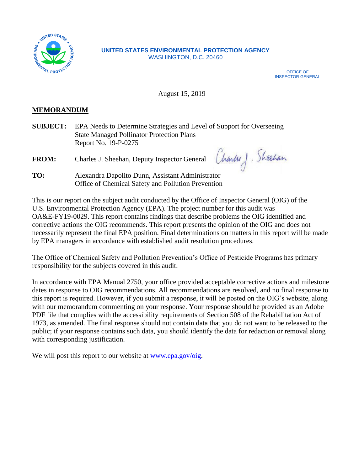

#### **UNITED STATES ENVIRONMENTAL PROTECTION AGENCY** WASHINGTON, D.C. 20460

OFFICE OF INSPECTOR GENERAL

Charles J. Sheahan

August 15, 2019

# **MEMORANDUM**

**SUBJECT:** EPA Needs to Determine Strategies and Level of Support for Overseeing State Managed Pollinator Protection Plans Report No. 19-P-0275

**FROM:** Charles J. Sheehan, Deputy Inspector General

**TO:** Alexandra Dapolito Dunn, Assistant Administrator Office of Chemical Safety and Pollution Prevention

This is our report on the subject audit conducted by the Office of Inspector General (OIG) of the U.S. Environmental Protection Agency (EPA). The project number for this audit was OA&E-FY19-0029. This report contains findings that describe problems the OIG identified and corrective actions the OIG recommends. This report presents the opinion of the OIG and does not necessarily represent the final EPA position. Final determinations on matters in this report will be made by EPA managers in accordance with established audit resolution procedures.

The Office of Chemical Safety and Pollution Prevention's Office of Pesticide Programs has primary responsibility for the subjects covered in this audit.

In accordance with EPA Manual 2750, your office provided acceptable corrective actions and milestone dates in response to OIG recommendations. All recommendations are resolved, and no final response to this report is required. However, if you submit a response, it will be posted on the OIG's website, along with our memorandum commenting on your response. Your response should be provided as an Adobe PDF file that complies with the accessibility requirements of Section 508 of the Rehabilitation Act of 1973, as amended. The final response should not contain data that you do not want to be released to the public; if your response contains such data, you should identify the data for redaction or removal along with corresponding justification.

We will post this report to our website at [www.epa.gov/oig.](http://www.epa.gov/oig)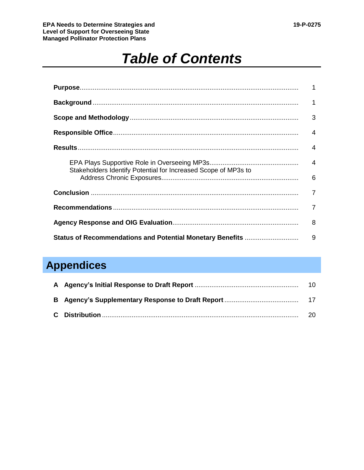**EPA Needs to Determine Strategies and 19-P-0275 Level of Support for Overseeing State Managed Pollinator Protection Plans**

# *Table of Contents*

|                                                                | 1              |
|----------------------------------------------------------------|----------------|
|                                                                | 3              |
|                                                                | 4              |
|                                                                | 4              |
| Stakeholders Identify Potential for Increased Scope of MP3s to | $\overline{4}$ |
|                                                                | 6              |
|                                                                | 7              |
|                                                                | 7              |
|                                                                | 8              |
| Status of Recommendations and Potential Monetary Benefits      | 9              |

# **Appendices**

|  | 20. |
|--|-----|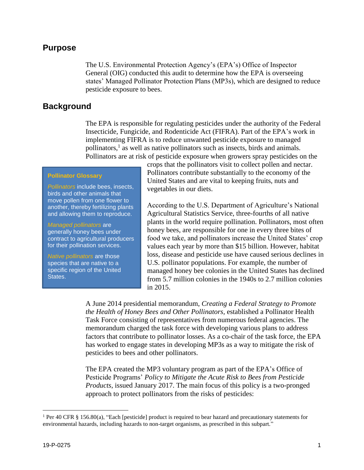# **Purpose**

The U.S. Environmental Protection Agency's (EPA's) Office of Inspector General (OIG) conducted this audit to determine how the EPA is overseeing states' Managed Pollinator Protection Plans (MP3s), which are designed to reduce pesticide exposure to bees.

## **Background**

The EPA is responsible for regulating pesticides under the authority of the Federal Insecticide, Fungicide, and Rodenticide Act (FIFRA). Part of the EPA's work in implementing FIFRA is to reduce unwanted pesticide exposure to managed pollinators, $<sup>1</sup>$  as well as native pollinators such as insects, birds and animals.</sup> Pollinators are at risk of pesticide exposure when growers spray pesticides on the

#### **Pollinator Glossary**

*Pollinators* include bees, insects, birds and other animals that move pollen from one flower to another, thereby fertilizing plants and allowing them to reproduce.

*Managed pollinators* are generally honey bees under contract to agricultural producers for their pollination services.

*Native pollinators* are those species that are native to a specific region of the United States.

crops that the pollinators visit to collect pollen and nectar. Pollinators contribute substantially to the economy of the United States and are vital to keeping fruits, nuts and vegetables in our diets.

According to the U.S. Department of Agriculture's National Agricultural Statistics Service, three-fourths of all native plants in the world require pollination. Pollinators, most often honey bees, are responsible for one in every three bites of food we take, and pollinators increase the United States' crop values each year by more than \$15 billion. However, habitat loss, disease and pesticide use have caused serious declines in U.S. pollinator populations. For example, the number of managed honey bee colonies in the United States has declined from 5.7 million colonies in the 1940s to 2.7 million colonies in 2015.

A June 2014 presidential memorandum, *Creating a Federal Strategy to Promote the Health of Honey Bees and Other Pollinators,* established a Pollinator Health Task Force consisting of representatives from numerous federal agencies. The memorandum charged the task force with developing various plans to address factors that contribute to pollinator losses. As a co-chair of the task force, the EPA has worked to engage states in developing MP3s as a way to mitigate the risk of pesticides to bees and other pollinators.

The EPA created the MP3 voluntary program as part of the EPA's Office of Pesticide Programs' *Policy to Mitigate the Acute Risk to Bees from Pesticide Products*, issued January 2017. The main focus of this policy is a two-pronged approach to protect pollinators from the risks of pesticides:

<sup>1</sup> Per 40 CFR § 156.80(a), "Each [pesticide] product is required to bear hazard and precautionary statements for environmental hazards, including hazards to non-target organisms, as prescribed in this subpart."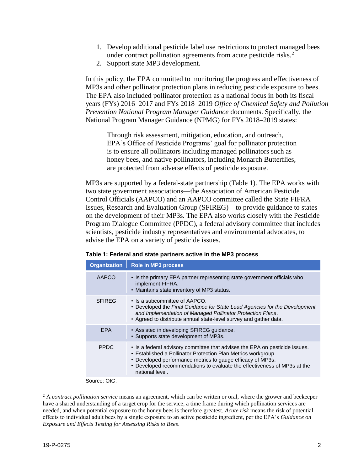- 1. Develop additional pesticide label use restrictions to protect managed bees under contract pollination agreements from acute pesticide risks.<sup>2</sup>
- 2. Support state MP3 development.

In this policy, the EPA committed to monitoring the progress and effectiveness of MP3s and other pollinator protection plans in reducing pesticide exposure to bees. The EPA also included pollinator protection as a national focus in both its fiscal years (FYs) 2016–2017 and FYs 2018–2019 *Office of Chemical Safety and Pollution Prevention National Program Manager Guidance* documents. Specifically, the National Program Manager Guidance (NPMG) for FYs 2018–2019 states:

Through risk assessment, mitigation, education, and outreach, EPA's Office of Pesticide Programs' goal for pollinator protection is to ensure all pollinators including managed pollinators such as honey bees, and native pollinators, including Monarch Butterflies, are protected from adverse effects of pesticide exposure.

MP3s are supported by a federal-state partnership (Table 1). The EPA works with two state government associations—the Association of American Pesticide Control Officials (AAPCO) and an AAPCO committee called the State FIFRA Issues, Research and Evaluation Group (SFIREG)—to provide guidance to states on the development of their MP3s. The EPA also works closely with the Pesticide Program Dialogue Committee (PPDC), a federal advisory committee that includes scientists, pesticide industry representatives and environmental advocates, to advise the EPA on a variety of pesticide issues.

| <b>Organization</b> | <b>Role in MP3 process</b>                                                                                                                                                                                                                                                                                |
|---------------------|-----------------------------------------------------------------------------------------------------------------------------------------------------------------------------------------------------------------------------------------------------------------------------------------------------------|
| AAPCO               | • Is the primary EPA partner representing state government officials who<br>implement FIFRA.<br>• Maintains state inventory of MP3 status.                                                                                                                                                                |
| <b>SFIREG</b>       | • Is a subcommittee of AAPCO.<br>• Developed the Final Guidance for State Lead Agencies for the Development<br>and Implementation of Managed Pollinator Protection Plans.<br>• Agreed to distribute annual state-level survey and gather data.                                                            |
| <b>EPA</b>          | • Assisted in developing SFIREG guidance.<br>• Supports state development of MP3s.                                                                                                                                                                                                                        |
| <b>PPDC</b>         | • Is a federal advisory committee that advises the EPA on pesticide issues.<br>• Established a Pollinator Protection Plan Metrics workgroup.<br>• Developed performance metrics to gauge efficacy of MP3s.<br>• Developed recommendations to evaluate the effectiveness of MP3s at the<br>national level. |
|                     |                                                                                                                                                                                                                                                                                                           |

|  | Table 1: Federal and state partners active in the MP3 process |  |
|--|---------------------------------------------------------------|--|
|--|---------------------------------------------------------------|--|

Source: OIG.

<sup>2</sup> A *contract pollination service* means an agreement, which can be written or oral, where the grower and beekeeper have a shared understanding of a target crop for the service, a time frame during which pollination services are needed, and when potential exposure to the honey bees is therefore greatest. *Acute risk* means the risk of potential effects to individual adult bees by a single exposure to an active pesticide ingredient, per the EPA's *Guidance on Exposure and Effects Testing for Assessing Risks to Bees*.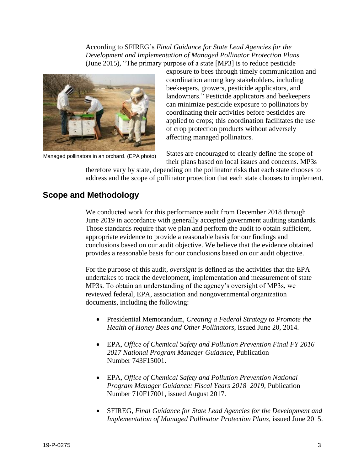According to SFIREG's *Final Guidance for State Lead Agencies for the Development and Implementation of Managed Pollinator Protection Plans* (June 2015)*,* "The primary purpose of a state [MP3] is to reduce pesticide



Managed pollinators in an orchard. (EPA photo)

exposure to bees through timely communication and coordination among key stakeholders, including beekeepers, growers, pesticide applicators, and landowners." Pesticide applicators and beekeepers can minimize pesticide exposure to pollinators by coordinating their activities before pesticides are applied to crops; this coordination facilitates the use of crop protection products without adversely affecting managed pollinators.

States are encouraged to clearly define the scope of their plans based on local issues and concerns. MP3s

therefore vary by state, depending on the pollinator risks that each state chooses to address and the scope of pollinator protection that each state chooses to implement.

# **Scope and Methodology**

We conducted work for this performance audit from December 2018 through June 2019 in accordance with generally accepted government auditing standards. Those standards require that we plan and perform the audit to obtain sufficient, appropriate evidence to provide a reasonable basis for our findings and conclusions based on our audit objective. We believe that the evidence obtained provides a reasonable basis for our conclusions based on our audit objective.

For the purpose of this audit, *oversight* is defined as the activities that the EPA undertakes to track the development, implementation and measurement of state MP3s. To obtain an understanding of the agency's oversight of MP3s, we reviewed federal, EPA, association and nongovernmental organization documents, including the following:

- Presidential Memorandum, *Creating a Federal Strategy to Promote the Health of Honey Bees and Other Pollinators*, issued June 20, 2014.
- EPA, *Office of Chemical Safety and Pollution Prevention Final FY 2016– 2017 National Program Manager Guidance*, Publication Number 743F15001.
- EPA, *Office of Chemical Safety and Pollution Prevention National Program Manager Guidance: Fiscal Years 2018–2019,* Publication Number 710F17001, issued August 2017.
- SFIREG, *Final Guidance for State Lead Agencies for the Development and Implementation of Managed Pollinator Protection Plans*, issued June 2015.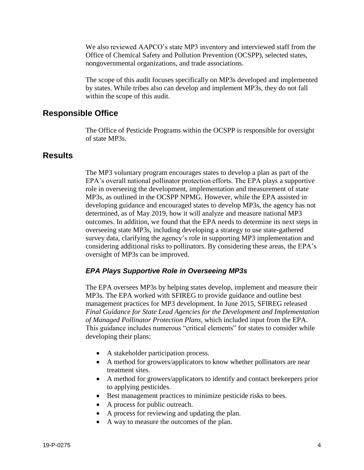We also reviewed AAPCO's state MP3 inventory and interviewed staff from the Office of Chemical Safety and Pollution Prevention (OCSPP), selected states, nongovernmental organizations, and trade associations.

The scope of this audit focuses specifically on MP3s developed and implemented by states. While tribes also can develop and implement MP3s, they do not fall within the scope of this audit.

# **Responsible Office**

The Office of Pesticide Programs within the OCSPP is responsible for oversight of state MP3s.

# **Results**

The MP3 voluntary program encourages states to develop a plan as part of the EPA's overall national pollinator protection efforts. The EPA plays a supportive role in overseeing the development, implementation and measurement of state MP3s, as outlined in the OCSPP NPMG. However, while the EPA assisted in developing guidance and encouraged states to develop MP3s, the agency has not determined, as of May 2019, how it will analyze and measure national MP3 outcomes. In addition, we found that the EPA needs to determine its next steps in overseeing state MP3s, including developing a strategy to use state-gathered survey data, clarifying the agency's role in supporting MP3 implementation and considering additional risks to pollinators. By considering these areas, the EPA's oversight of MP3s can be improved.

## *EPA Plays Supportive Role in Overseeing MP3s*

The EPA oversees MP3s by helping states develop, implement and measure their MP3s. The EPA worked with SFIREG to provide guidance and outline best management practices for MP3 development. In June 2015, SFIREG released *Final Guidance for State Lead Agencies for the Development and Implementation of Managed Pollinator Protection Plans*, which included input from the EPA. This guidance includes numerous "critical elements" for states to consider while developing their plans:

- A stakeholder participation process.
- A method for growers/applicators to know whether pollinators are near treatment sites.
- A method for growers/applicators to identify and contact beekeepers prior to applying pesticides.
- Best management practices to minimize pesticide risks to bees.
- A process for public outreach.
- A process for reviewing and updating the plan.
- A way to measure the outcomes of the plan.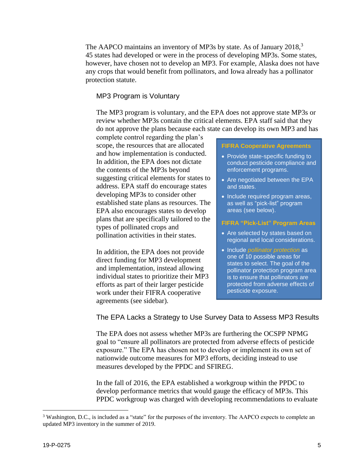The AAPCO maintains an inventory of MP3s by state. As of January 2018,<sup>3</sup> 45 states had developed or were in the process of developing MP3s. Some states, however, have chosen not to develop an MP3. For example, Alaska does not have any crops that would benefit from pollinators, and Iowa already has a pollinator protection statute.

#### MP3 Program is Voluntary

The MP3 program is voluntary, and the EPA does not approve state MP3s or review whether MP3s contain the critical elements. EPA staff said that they do not approve the plans because each state can develop its own MP3 and has

complete control regarding the plan's scope, the resources that are allocated and how implementation is conducted. In addition, the EPA does not dictate the contents of the MP3s beyond suggesting critical elements for states to address. EPA staff do encourage states developing MP3s to consider other established state plans as resources. The EPA also encourages states to develop plans that are specifically tailored to the types of pollinated crops and pollination activities in their states.

In addition, the EPA does not provide direct funding for MP3 development and implementation, instead allowing individual states to prioritize their MP3 efforts as part of their larger pesticide work under their FIFRA cooperative agreements (see sidebar).

#### **FIFRA Cooperative Agreements**

- Provide state-specific funding to conduct pesticide compliance and enforcement programs.
- Are negotiated between the EPA and states.
- Include required program areas, as well as "pick-list" program areas (see below).

#### **FIFRA "Pick-List" Program Areas**

- Are selected by states based on regional and local considerations.
- Include *pollinator protection* as one of 10 possible areas for states to select. The goal of the pollinator protection program area is to ensure that pollinators are protected from adverse effects of pesticide exposure.

The EPA Lacks a Strategy to Use Survey Data to Assess MP3 Results

The EPA does not assess whether MP3s are furthering the OCSPP NPMG goal to "ensure all pollinators are protected from adverse effects of pesticide exposure." The EPA has chosen not to develop or implement its own set of nationwide outcome measures for MP3 efforts, deciding instead to use measures developed by the PPDC and SFIREG.

In the fall of 2016, the EPA established a workgroup within the PPDC to develop performance metrics that would gauge the efficacy of MP3s. This PPDC workgroup was charged with developing recommendations to evaluate

<sup>&</sup>lt;sup>3</sup> Washington, D.C., is included as a "state" for the purposes of the inventory. The AAPCO expects to complete an updated MP3 inventory in the summer of 2019.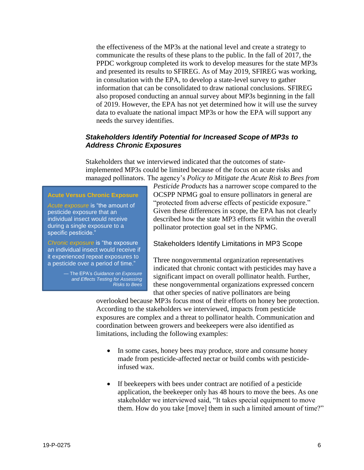the effectiveness of the MP3s at the national level and create a strategy to communicate the results of these plans to the public. In the fall of 2017, the PPDC workgroup completed its work to develop measures for the state MP3s and presented its results to SFIREG. As of May 2019, SFIREG was working, in consultation with the EPA, to develop a state-level survey to gather information that can be consolidated to draw national conclusions. SFIREG also proposed conducting an annual survey about MP3s beginning in the fall of 2019. However, the EPA has not yet determined how it will use the survey data to evaluate the national impact MP3s or how the EPA will support any needs the survey identifies.

# *Stakeholders Identify Potential for Increased Scope of MP3s to Address Chronic Exposures*

Stakeholders that we interviewed indicated that the outcomes of stateimplemented MP3s could be limited because of the focus on acute risks and managed pollinators. The agency's *Policy to Mitigate the Acute Risk to Bees from* 

#### **Acute Versus Chronic Exposure**

*Acute exposure* is "the amount of pesticide exposure that an individual insect would receive during a single exposure to a specific pesticide."

*Chronic exposure* is "the exposure an individual insect would receive if it experienced repeat exposures to a pesticide over a period of time."

> — The EPA's *Guidance on Exposure and Effects Testing for Assessing Risks to Bees*

*Pesticide Products* has a narrower scope compared to the OCSPP NPMG goal to ensure pollinators in general are "protected from adverse effects of pesticide exposure." Given these differences in scope, the EPA has not clearly described how the state MP3 efforts fit within the overall pollinator protection goal set in the NPMG.

#### Stakeholders Identify Limitations in MP3 Scope

Three nongovernmental organization representatives indicated that chronic contact with pesticides may have a significant impact on overall pollinator health. Further, these nongovernmental organizations expressed concern that other species of native pollinators are being

overlooked because MP3s focus most of their efforts on honey bee protection. According to the stakeholders we interviewed, impacts from pesticide exposures are complex and a threat to pollinator health. Communication and coordination between growers and beekeepers were also identified as limitations, including the following examples:

- In some cases, honey bees may produce, store and consume honey made from pesticide-affected nectar or build combs with pesticideinfused wax.
- If beekeepers with bees under contract are notified of a pesticide application, the beekeeper only has 48 hours to move the bees. As one stakeholder we interviewed said, "It takes special equipment to move them. How do you take [move] them in such a limited amount of time?"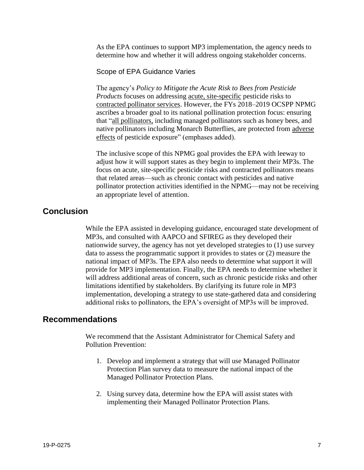As the EPA continues to support MP3 implementation, the agency needs to determine how and whether it will address ongoing stakeholder concerns.

#### Scope of EPA Guidance Varies

The agency's *Policy to Mitigate the Acute Risk to Bees from Pesticide Products* focuses on addressing acute, site-specific pesticide risks to contracted pollinator services. However, the FYs 2018–2019 OCSPP NPMG ascribes a broader goal to its national pollination protection focus: ensuring that "all pollinators, including managed pollinators such as honey bees, and native pollinators including Monarch Butterflies, are protected from adverse effects of pesticide exposure" (emphases added).

The inclusive scope of this NPMG goal provides the EPA with leeway to adjust how it will support states as they begin to implement their MP3s. The focus on acute, site-specific pesticide risks and contracted pollinators means that related areas—such as chronic contact with pesticides and native pollinator protection activities identified in the NPMG—may not be receiving an appropriate level of attention.

# **Conclusion**

While the EPA assisted in developing guidance, encouraged state development of MP3s, and consulted with AAPCO and SFIREG as they developed their nationwide survey, the agency has not yet developed strategies to (1) use survey data to assess the programmatic support it provides to states or (2) measure the national impact of MP3s. The EPA also needs to determine what support it will provide for MP3 implementation. Finally, the EPA needs to determine whether it will address additional areas of concern, such as chronic pesticide risks and other limitations identified by stakeholders. By clarifying its future role in MP3 implementation, developing a strategy to use state-gathered data and considering additional risks to pollinators, the EPA's oversight of MP3s will be improved.

# **Recommendations**

We recommend that the Assistant Administrator for Chemical Safety and Pollution Prevention:

- 1. Develop and implement a strategy that will use Managed Pollinator Protection Plan survey data to measure the national impact of the Managed Pollinator Protection Plans.
- 2. Using survey data, determine how the EPA will assist states with implementing their Managed Pollinator Protection Plans.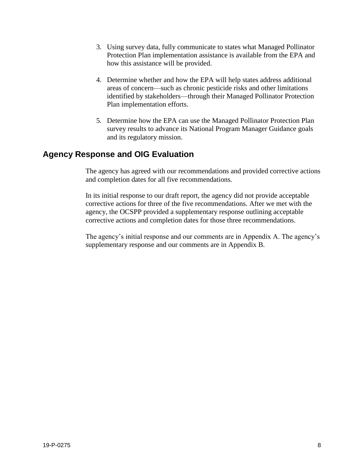- 3. Using survey data, fully communicate to states what Managed Pollinator Protection Plan implementation assistance is available from the EPA and how this assistance will be provided.
- 4. Determine whether and how the EPA will help states address additional areas of concern—such as chronic pesticide risks and other limitations identified by stakeholders—through their Managed Pollinator Protection Plan implementation efforts.
- 5. Determine how the EPA can use the Managed Pollinator Protection Plan survey results to advance its National Program Manager Guidance goals and its regulatory mission.

# **Agency Response and OIG Evaluation**

The agency has agreed with our recommendations and provided corrective actions and completion dates for all five recommendations.

In its initial response to our draft report, the agency did not provide acceptable corrective actions for three of the five recommendations. After we met with the agency, the OCSPP provided a supplementary response outlining acceptable corrective actions and completion dates for those three recommendations.

The agency's initial response and our comments are in Appendix A. The agency's supplementary response and our comments are in Appendix B.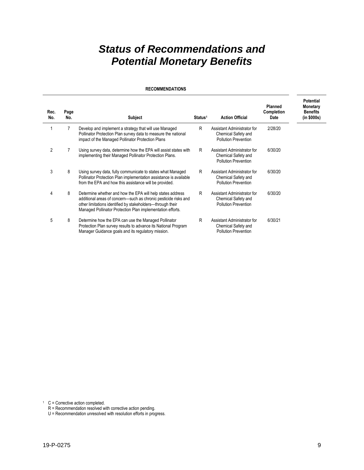# *Status of Recommendations and Potential Monetary Benefits*

#### **RECOMMENDATIONS**

| Rec.<br>No.    | Page<br>No. | <b>Subject</b>                                                                                                                                                                                                                                            | Status <sup>1</sup> | <b>Action Official</b>                                                            | <b>Planned</b><br>Completion<br><b>Date</b> | <b>Potential</b><br>Monetary<br><b>Benefits</b><br>(in \$000s) |
|----------------|-------------|-----------------------------------------------------------------------------------------------------------------------------------------------------------------------------------------------------------------------------------------------------------|---------------------|-----------------------------------------------------------------------------------|---------------------------------------------|----------------------------------------------------------------|
|                | 7           | Develop and implement a strategy that will use Managed<br>Pollinator Protection Plan survey data to measure the national<br>impact of the Managed Pollinator Protection Plans                                                                             | R                   | Assistant Administrator for<br>Chemical Safety and<br><b>Pollution Prevention</b> | 2/28/20                                     |                                                                |
| $\overline{2}$ |             | Using survey data, determine how the EPA will assist states with<br>implementing their Managed Pollinator Protection Plans.                                                                                                                               | R                   | Assistant Administrator for<br>Chemical Safety and<br><b>Pollution Prevention</b> | 6/30/20                                     |                                                                |
| 3              | 8           | Using survey data, fully communicate to states what Managed<br>Pollinator Protection Plan implementation assistance is available<br>from the EPA and how this assistance will be provided.                                                                | R                   | Assistant Administrator for<br>Chemical Safety and<br><b>Pollution Prevention</b> | 6/30/20                                     |                                                                |
| 4              | 8           | Determine whether and how the EPA will help states address<br>additional areas of concern—such as chronic pesticide risks and<br>other limitations identified by stakeholders-through their<br>Managed Pollinator Protection Plan implementation efforts. | R                   | Assistant Administrator for<br>Chemical Safety and<br><b>Pollution Prevention</b> | 6/30/20                                     |                                                                |
| 5              | 8           | Determine how the EPA can use the Managed Pollinator<br>Protection Plan survey results to advance its National Program<br>Manager Guidance goals and its regulatory mission.                                                                              | R                   | Assistant Administrator for<br>Chemical Safety and<br><b>Pollution Prevention</b> | 6/30/21                                     |                                                                |

 $1 \quad C =$  Corrective action completed.

R = Recommendation resolved with corrective action pending.

U = Recommendation unresolved with resolution efforts in progress.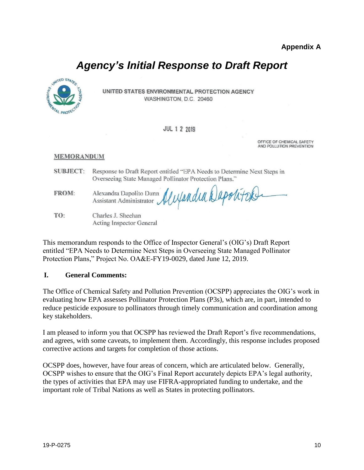# *Agency's Initial Response to Draft Report*



UNITED STATES ENVIRONMENTAL PROTECTION AGENCY WASHINGTON, D.C. 20460

#### **JUL 1 2 2019**

OFFICE OF CHEMICAL SAFETY AND POLLUTION PREVENTION

#### **MEMORANDUM**

**SUBJECT:** Response to Draft Report entitled "EPA Needs to Determine Next Steps in Overseeing State Managed Pollinator Protection Plans."

Alexandra Dapolitok FROM: Alexandra Dapolito Dunn Assistant Administrator

TO: Charles J. Sheehan Acting Inspector General

This memorandum responds to the Office of Inspector General's (OIG's) Draft Report entitled "EPA Needs to Determine Next Steps in Overseeing State Managed Pollinator Protection Plans," Project No. OA&E-FY19-0029, dated June 12, 2019.

## **I. General Comments:**

The Office of Chemical Safety and Pollution Prevention (OCSPP) appreciates the OIG's work in evaluating how EPA assesses Pollinator Protection Plans (P3s), which are, in part, intended to reduce pesticide exposure to pollinators through timely communication and coordination among key stakeholders.

I am pleased to inform you that OCSPP has reviewed the Draft Report's five recommendations, and agrees, with some caveats, to implement them. Accordingly, this response includes proposed corrective actions and targets for completion of those actions.

OCSPP does, however, have four areas of concern, which are articulated below. Generally, OCSPP wishes to ensure that the OIG's Final Report accurately depicts EPA's legal authority, the types of activities that EPA may use FIFRA-appropriated funding to undertake, and the important role of Tribal Nations as well as States in protecting pollinators.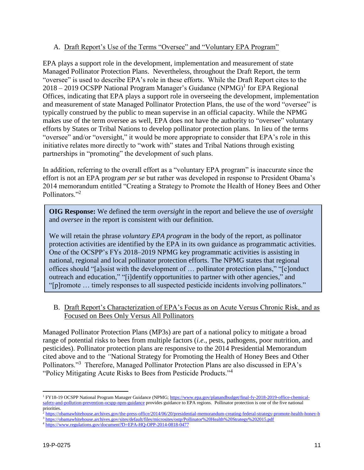# A. Draft Report's Use of the Terms "Oversee" and "Voluntary EPA Program"

EPA plays a support role in the development, implementation and measurement of state Managed Pollinator Protection Plans. Nevertheless, throughout the Draft Report, the term "oversee" is used to describe EPA's role in these efforts. While the Draft Report cites to the 2018 – 2019 OCSPP National Program Manager's Guidance (NPMG)<sup>1</sup> for EPA Regional Offices, indicating that EPA plays a support role in overseeing the development, implementation and measurement of state Managed Pollinator Protection Plans, the use of the word "oversee" is typically construed by the public to mean supervise in an official capacity. While the NPMG makes use of the term oversee as well, EPA does not have the authority to "oversee" voluntary efforts by States or Tribal Nations to develop pollinator protection plans. In lieu of the terms "oversee" and/or "oversight," it would be more appropriate to consider that EPA's role in this initiative relates more directly to "work with" states and Tribal Nations through existing partnerships in "promoting" the development of such plans.

In addition, referring to the overall effort as a "voluntary EPA program" is inaccurate since the effort is not an EPA program *per se* but rather was developed in response to President Obama's 2014 memorandum entitled "Creating a Strategy to Promote the Health of Honey Bees and Other Pollinators."<sup>2</sup>

**OIG Response:** We defined the term *oversight* in the report and believe the use of *oversight* and *oversee* in the report is consistent with our definition.

We will retain the phrase *voluntary EPA program* in the body of the report, as pollinator protection activities are identified by the EPA in its own guidance as programmatic activities. One of the OCSPP's FYs 2018–2019 NPMG key programmatic activities is assisting in national, regional and local pollinator protection efforts. The NPMG states that regional offices should "[a]ssist with the development of … pollinator protection plans," "[c]onduct outreach and education," "[i]dentify opportunities to partner with other agencies," and "[p]romote … timely responses to all suspected pesticide incidents involving pollinators."

B. Draft Report's Characterization of EPA's Focus as on Acute Versus Chronic Risk, and as Focused on Bees Only Versus All Pollinators

Managed Pollinator Protection Plans (MP3s) are part of a national policy to mitigate a broad range of potential risks to bees from multiple factors (*i.e*., pests, pathogens, poor nutrition, and pesticides). Pollinator protection plans are responsive to the 2014 Presidential Memorandum cited above and to the *"*National Strategy for Promoting the Health of Honey Bees and Other Pollinators."<sup>3</sup> Therefore, Managed Pollinator Protection Plans are also discussed in EPA's "Policy Mitigating Acute Risks to Bees from Pesticide Products."<sup>4</sup>

<sup>2</sup> <https://obamawhitehouse.archives.gov/the-press-office/2014/06/20/presidential-memorandum-creating-federal-strategy-promote-health-honey-b>

<sup>&</sup>lt;sup>1</sup> FY18-19 OCSPP National Program Manager Guidance (NPMG[; https://www.epa.gov/planandbudget/final-fy-2018-2019-office-chemical](https://www.epa.gov/planandbudget/final-fy-2018-2019-office-chemical-safety-and-pollution-prevention-ocspp-npm-guidance)[safety-and-pollution-prevention-ocspp-npm-guidance](https://www.epa.gov/planandbudget/final-fy-2018-2019-office-chemical-safety-and-pollution-prevention-ocspp-npm-guidance) provides guidance to EPA regions. Pollinator protection is one of the five national priorities.

<sup>3</sup> <https://obamawhitehouse.archives.gov/sites/default/files/microsites/ostp/Pollinator%20Health%20Strategy%202015.pdf>

<sup>4</sup> <https://www.regulations.gov/document?D=EPA-HQ-OPP-2014-0818-0477>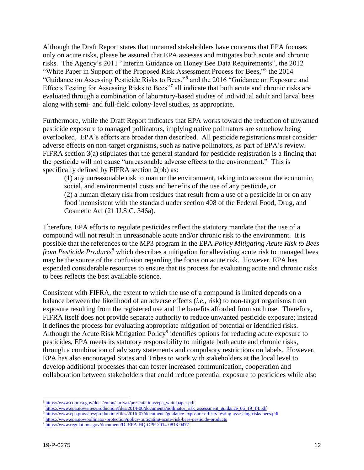Although the Draft Report states that unnamed stakeholders have concerns that EPA focuses only on acute risks, please be assured that EPA assesses and mitigates both acute and chronic risks. The Agency's 2011 "Interim Guidance on Honey Bee Data Requirements", the 2012 "White Paper in Support of the Proposed Risk Assessment Process for Bees,"<sup>5</sup> the 2014 "Guidance on Assessing Pesticide Risks to Bees,"<sup>6</sup> and the 2016 "Guidance on Exposure and Effects Testing for Assessing Risks to Bees"<sup>7</sup> all indicate that both acute and chronic risks are evaluated through a combination of laboratory-based studies of individual adult and larval bees along with semi- and full-field colony-level studies, as appropriate.

Furthermore, while the Draft Report indicates that EPA works toward the reduction of unwanted pesticide exposure to managed pollinators, implying native pollinators are somehow being overlooked, EPA's efforts are broader than described. All pesticide registrations must consider adverse effects on non-target organisms, such as native pollinators, as part of EPA's review. FIFRA section 3(a) stipulates that the general standard for pesticide registration is a finding that the pesticide will not cause "unreasonable adverse effects to the environment." This is specifically defined by FIFRA section 2(bb) as:

(1) any unreasonable risk to man or the environment, taking into account the economic, social, and environmental costs and benefits of the use of any pesticide, or (2) a human dietary risk from residues that result from a use of a pesticide in or on any food inconsistent with the standard under section 408 of the Federal Food, Drug, and Cosmetic Act (21 U.S.C. 346a).

Therefore, EPA efforts to regulate pesticides reflect the statutory mandate that the use of a compound will not result in unreasonable acute and/or chronic risk to the environment. It is possible that the references to the MP3 program in the EPA *Policy Mitigating Acute Risk to Bees from Pesticide Products*<sup>8</sup> which describes a mitigation for alleviating acute risk to managed bees may be the source of the confusion regarding the focus on acute risk. However, EPA has expended considerable resources to ensure that its process for evaluating acute and chronic risks to bees reflects the best available science.

Consistent with FIFRA, the extent to which the use of a compound is limited depends on a balance between the likelihood of an adverse effects (*i.e*., risk) to non-target organisms from exposure resulting from the registered use and the benefits afforded from such use. Therefore, FIFRA itself does not provide separate authority to reduce unwanted pesticide exposure; instead it defines the process for evaluating appropriate mitigation of potential or identified risks. Although the Acute Risk Mitigation Policy<sup>9</sup> identifies options for reducing acute exposure to pesticides, EPA meets its statutory responsibility to mitigate both acute and chronic risks, through a combination of advisory statements and compulsory restrictions on labels. However, EPA has also encouraged States and Tribes to work with stakeholders at the local level to develop additional processes that can foster increased communication, cooperation and collaboration between stakeholders that could reduce potential exposure to pesticides while also

<sup>&</sup>lt;sup>5</sup> [https://www.cdpr.ca.gov/docs/emon/surfwtr/presentations/epa\\_whitepaper.pdf](https://www.cdpr.ca.gov/docs/emon/surfwtr/presentations/epa_whitepaper.pdf)

<sup>&</sup>lt;sup>6</sup> [https://www.epa.gov/sites/production/files/2014-06/documents/pollinator\\_risk\\_assessment\\_guidance\\_06\\_19\\_14.pdf](https://www.epa.gov/sites/production/files/2014-06/documents/pollinator_risk_assessment_guidance_06_19_14.pdf)

<sup>7</sup> <https://www.epa.gov/sites/production/files/2016-07/documents/guidance-exposure-effects-testing-assessing-risks-bees.pdf>

<sup>8</sup> <https://www.epa.gov/pollinator-protection/policy-mitigating-acute-risk-bees-pesticide-products>

<sup>9</sup> <https://www.regulations.gov/document?D=EPA-HQ-OPP-2014-0818-0477>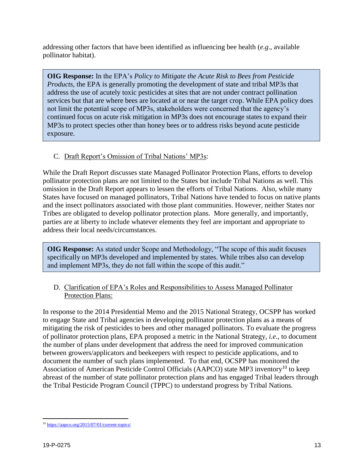addressing other factors that have been identified as influencing bee health (*e.g*., available pollinator habitat).

**OIG Response:** In the EPA's *Policy to Mitigate the Acute Risk to Bees from Pesticide Products,* the EPA is generally promoting the development of state and tribal MP3s that address the use of acutely toxic pesticides at sites that are not under contract pollination services but that are where bees are located at or near the target crop. While EPA policy does not limit the potential scope of MP3s, stakeholders were concerned that the agency's continued focus on acute risk mitigation in MP3s does not encourage states to expand their MP3s to protect species other than honey bees or to address risks beyond acute pesticide exposure.

# C. Draft Report's Omission of Tribal Nations' MP3s:

While the Draft Report discusses state Managed Pollinator Protection Plans, efforts to develop pollinator protection plans are not limited to the States but include Tribal Nations as well. This omission in the Draft Report appears to lessen the efforts of Tribal Nations. Also, while many States have focused on managed pollinators, Tribal Nations have tended to focus on native plants and the insect pollinators associated with those plant communities. However, neither States nor Tribes are obligated to develop pollinator protection plans. More generally, and importantly, parties are at liberty to include whatever elements they feel are important and appropriate to address their local needs/circumstances.

**OIG Response:** As stated under Scope and Methodology, "The scope of this audit focuses specifically on MP3s developed and implemented by states. While tribes also can develop and implement MP3s, they do not fall within the scope of this audit."

# D. Clarification of EPA's Roles and Responsibilities to Assess Managed Pollinator Protection Plans:

In response to the 2014 Presidential Memo and the 2015 National Strategy, OCSPP has worked to engage State and Tribal agencies in developing pollinator protection plans as a means of mitigating the risk of pesticides to bees and other managed pollinators. To evaluate the progress of pollinator protection plans, EPA proposed a metric in the National Strategy, *i.e.*, to document the number of plans under development that address the need for improved communication between growers/applicators and beekeepers with respect to pesticide applications, and to document the number of such plans implemented. To that end, OCSPP has monitored the Association of American Pesticide Control Officials (AAPCO) state MP3 inventory<sup>10</sup> to keep abreast of the number of state pollinator protection plans and has engaged Tribal leaders through the Tribal Pesticide Program Council (TPPC) to understand progress by Tribal Nations.

 $\overline{a}$ <sup>10</sup> <https://aapco.org/2015/07/01/current-topics/>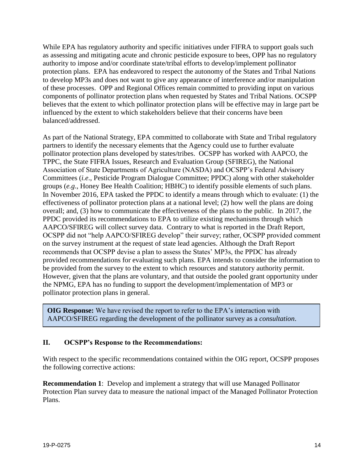While EPA has regulatory authority and specific initiatives under FIFRA to support goals such as assessing and mitigating acute and chronic pesticide exposure to bees, OPP has no regulatory authority to impose and/or coordinate state/tribal efforts to develop/implement pollinator protection plans. EPA has endeavored to respect the autonomy of the States and Tribal Nations to develop MP3s and does not want to give any appearance of interference and/or manipulation of these processes. OPP and Regional Offices remain committed to providing input on various components of pollinator protection plans when requested by States and Tribal Nations. OCSPP believes that the extent to which pollinator protection plans will be effective may in large part be influenced by the extent to which stakeholders believe that their concerns have been balanced/addressed.

As part of the National Strategy, EPA committed to collaborate with State and Tribal regulatory partners to identify the necessary elements that the Agency could use to further evaluate pollinator protection plans developed by states/tribes. OCSPP has worked with AAPCO, the TPPC, the State FIFRA Issues, Research and Evaluation Group (SFIREG), the National Association of State Departments of Agriculture (NASDA) and OCSPP's Federal Advisory Committees (*i.e*., Pesticide Program Dialogue Committee; PPDC) along with other stakeholder groups (*e.g*., Honey Bee Health Coalition; HBHC) to identify possible elements of such plans. In November 2016, EPA tasked the PPDC to identify a means through which to evaluate: (1) the effectiveness of pollinator protection plans at a national level; (2) how well the plans are doing overall; and, (3) how to communicate the effectiveness of the plans to the public. In 2017, the PPDC provided its recommendations to EPA to utilize existing mechanisms through which AAPCO/SFIREG will collect survey data. Contrary to what is reported in the Draft Report, OCSPP did not "help AAPCO/SFIREG develop" their survey; rather, OCSPP provided comment on the survey instrument at the request of state lead agencies. Although the Draft Report recommends that OCSPP devise a plan to assess the States' MP3s, the PPDC has already provided recommendations for evaluating such plans. EPA intends to consider the information to be provided from the survey to the extent to which resources and statutory authority permit. However, given that the plans are voluntary, and that outside the pooled grant opportunity under the NPMG, EPA has no funding to support the development/implementation of MP3 or pollinator protection plans in general.

**OIG Response:** We have revised the report to refer to the EPA's interaction with AAPCO/SFIREG regarding the development of the pollinator survey as a *consultation*.

# **II. OCSPP's Response to the Recommendations:**

With respect to the specific recommendations contained within the OIG report, OCSPP proposes the following corrective actions:

**Recommendation 1**: Develop and implement a strategy that will use Managed Pollinator Protection Plan survey data to measure the national impact of the Managed Pollinator Protection Plans.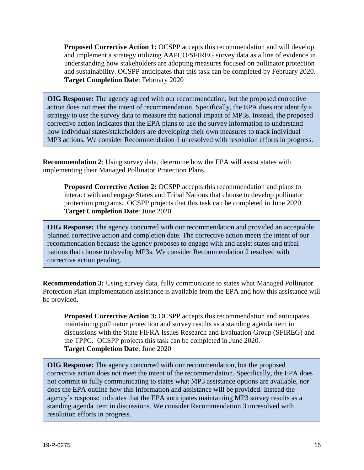**Proposed Corrective Action 1:** OCSPP accepts this recommendation and will develop and implement a strategy utilizing AAPCO/SFIREG survey data as a line of evidence in understanding how stakeholders are adopting measures focused on pollinator protection and sustainability. OCSPP anticipates that this task can be completed by February 2020. **Target Completion Date**: February 2020

**OIG Response:** The agency agreed with our recommendation, but the proposed corrective action does not meet the intent of recommendation. Specifically, the EPA does not identify a strategy to use the survey data to measure the national impact of MP3s. Instead, the proposed corrective action indicates that the EPA plans to use the survey information to understand how individual states/stakeholders are developing their own measures to track individual MP3 actions. We consider Recommendation 1 unresolved with resolution efforts in progress.

**Recommendation 2**: Using survey data, determine how the EPA will assist states with implementing their Managed Pollinator Protection Plans.

**Proposed Corrective Action 2:** OCSPP accepts this recommendation and plans to interact with and engage States and Tribal Nations that choose to develop pollinator protection programs. OCSPP projects that this task can be completed in June 2020. **Target Completion Date**: June 2020

**OIG Response:** The agency concurred with our recommendation and provided an acceptable planned corrective action and completion date. The corrective action meets the intent of our recommendation because the agency proposes to engage with and assist states and tribal nations that choose to develop MP3s. We consider Recommendation 2 resolved with corrective action pending.

**Recommendation 3:** Using survey data, fully communicate to states what Managed Pollinator Protection Plan implementation assistance is available from the EPA and how this assistance will be provided.

**Proposed Corrective Action 3: OCSPP** accepts this recommendation and anticipates maintaining pollinator protection and survey results as a standing agenda item in discussions with the State FIFRA Issues Research and Evaluation Group (SFIREG) and the TPPC. OCSPP projects this task can be completed in June 2020. **Target Completion Date**: June 2020

**OIG Response:** The agency concurred with our recommendation, but the proposed corrective action does not meet the intent of the recommendation. Specifically, the EPA does not commit to fully communicating to states what MP3 assistance options are available, nor does the EPA outline how this information and assistance will be provided. Instead the agency's response indicates that the EPA anticipates maintaining MP3 survey results as a standing agenda item in discussions. We consider Recommendation 3 unresolved with resolution efforts in progress.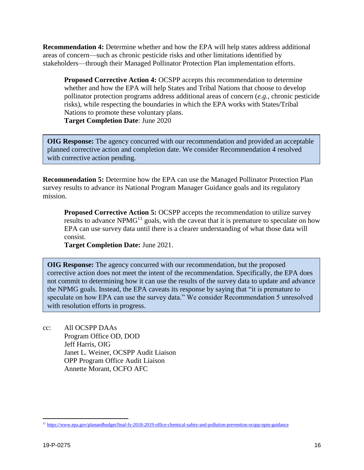**Recommendation 4:** Determine whether and how the EPA will help states address additional areas of concern—such as chronic pesticide risks and other limitations identified by stakeholders—through their Managed Pollinator Protection Plan implementation efforts.

**Proposed Corrective Action 4: OCSPP accepts this recommendation to determine** whether and how the EPA will help States and Tribal Nations that choose to develop pollinator protection programs address additional areas of concern (*e.g.*, chronic pesticide risks), while respecting the boundaries in which the EPA works with States/Tribal Nations to promote these voluntary plans. **Target Completion Date**: June 2020

**OIG Response:** The agency concurred with our recommendation and provided an acceptable planned corrective action and completion date. We consider Recommendation 4 resolved with corrective action pending.

**Recommendation 5:** Determine how the EPA can use the Managed Pollinator Protection Plan survey results to advance its National Program Manager Guidance goals and its regulatory mission.

**Proposed Corrective Action 5: OCSPP** accepts the recommendation to utilize survey results to advance NPM $G<sup>11</sup>$  goals, with the caveat that it is premature to speculate on how EPA can use survey data until there is a clearer understanding of what those data will consist.

**Target Completion Date:** June 2021.

**OIG Response:** The agency concurred with our recommendation, but the proposed corrective action does not meet the intent of the recommendation. Specifically, the EPA does not commit to determining how it can use the results of the survey data to update and advance the NPMG goals. Instead, the EPA caveats its response by saying that "it is premature to speculate on how EPA can use the survey data." We consider Recommendation 5 unresolved with resolution efforts in progress.

cc: All OCSPP DAAs Program Office OD, DOD Jeff Harris, OIG Janet L. Weiner, OCSPP Audit Liaison OPP Program Office Audit Liaison Annette Morant, OCFO AFC

<sup>11</sup> <https://www.epa.gov/planandbudget/final-fy-2018-2019-office-chemical-safety-and-pollution-prevention-ocspp-npm-guidance>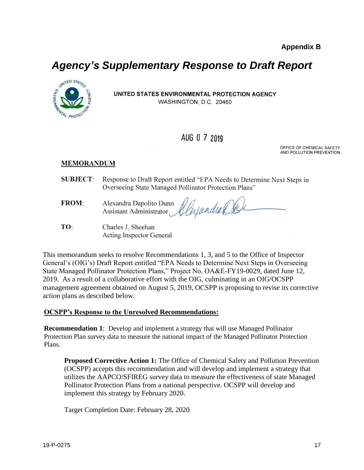# *Agency's Supplementary Response to Draft Report*



UNITED STATES ENVIRONMENTAL PROTECTION AGENCY WASHINGTON, D.C. 20460

# AUG 0 7 2019

OFFICE OF CHEMICAL SAFETY AND POLLUTION PREVENTION

# **MEMORANDUM**

- **SUBJECT:** Response to Draft Report entitled "EPA Needs to Determine Next Steps in Overseeing State Managed Pollinator Protection Plans"
- FROM: Cleyandra Oxele Alexandra Dapolito Dunn Assistant Administrator
- TO: Charles J. Sheehan **Acting Inspector General**

This memorandum seeks to resolve Recommendations 1, 3, and 5 to the Office of Inspector General's (OIG's) Draft Report entitled "EPA Needs to Determine Next Steps in Overseeing State Managed Pollinator Protection Plans," Project No. OA&E-FY19-0029, dated June 12, 2019. As a result of a collaborative effort with the OIG, culminating in an OIG/OCSPP management agreement obtained on August 5, 2019, OCSPP is proposing to revise its corrective action plans as described below.

## **OCSPP's Response to the Unresolved Recommendations:**

**Recommendation 1**: Develop and implement a strategy that will use Managed Pollinator Protection Plan survey data to measure the national impact of the Managed Pollinator Protection Plans.

**Proposed Corrective Action 1:** The Office of Chemical Safety and Pollution Prevention (OCSPP) accepts this recommendation and will develop and implement a strategy that utilizes the AAPCO/SFIREG survey data to measure the effectiveness of state Managed Pollinator Protection Plans from a national perspective. OCSPP will develop and implement this strategy by February 2020.

Target Completion Date: February 28, 2020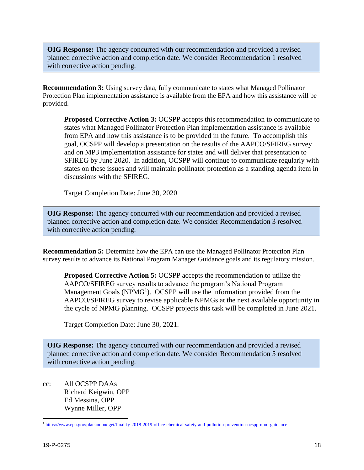**OIG Response:** The agency concurred with our recommendation and provided a revised planned corrective action and completion date. We consider Recommendation 1 resolved with corrective action pending.

**Recommendation 3:** Using survey data, fully communicate to states what Managed Pollinator Protection Plan implementation assistance is available from the EPA and how this assistance will be provided.

**Proposed Corrective Action 3:** OCSPP accepts this recommendation to communicate to states what Managed Pollinator Protection Plan implementation assistance is available from EPA and how this assistance is to be provided in the future. To accomplish this goal, OCSPP will develop a presentation on the results of the AAPCO/SFIREG survey and on MP3 implementation assistance for states and will deliver that presentation to SFIREG by June 2020. In addition, OCSPP will continue to communicate regularly with states on these issues and will maintain pollinator protection as a standing agenda item in discussions with the SFIREG.

Target Completion Date: June 30, 2020

**OIG Response:** The agency concurred with our recommendation and provided a revised planned corrective action and completion date. We consider Recommendation 3 resolved with corrective action pending.

**Recommendation 5:** Determine how the EPA can use the Managed Pollinator Protection Plan survey results to advance its National Program Manager Guidance goals and its regulatory mission.

**Proposed Corrective Action 5:** OCSPP accepts the recommendation to utilize the AAPCO/SFIREG survey results to advance the program's National Program Management Goals ( $NPMG<sup>1</sup>$ ). OCSPP will use the information provided from the AAPCO/SFIREG survey to revise applicable NPMGs at the next available opportunity in the cycle of NPMG planning. OCSPP projects this task will be completed in June 2021.

Target Completion Date: June 30, 2021.

**OIG Response:** The agency concurred with our recommendation and provided a revised planned corrective action and completion date. We consider Recommendation 5 resolved with corrective action pending.

cc: All OCSPP DAAs Richard Keigwin, OPP Ed Messina, OPP Wynne Miller, OPP

 $\overline{a}$ <sup>1</sup> <https://www.epa.gov/planandbudget/final-fy-2018-2019-office-chemical-safety-and-pollution-prevention-ocspp-npm-guidance>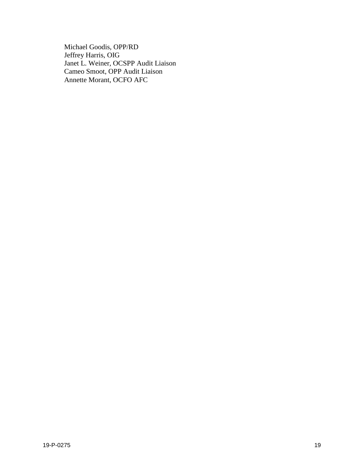Michael Goodis, OPP/RD Jeffrey Harris, OIG Janet L. Weiner, OCSPP Audit Liaison Cameo Smoot, OPP Audit Liaison Annette Morant, OCFO AFC